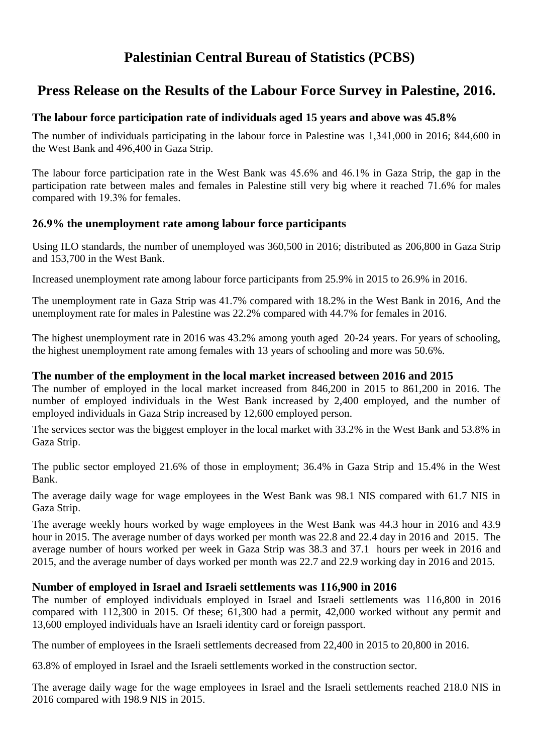# **Palestinian Central Bureau of Statistics (PCBS)**

# **Press Release on the Results of the Labour Force Survey in Palestine, 2016.**

# **The labour force participation rate of individuals aged 15 years and above was 45.8%**

The number of individuals participating in the labour force in Palestine was 1,341,000 in 2016; 844,600 in the West Bank and 496,400 in Gaza Strip.

The labour force participation rate in the West Bank was 45.6% and 46.1% in Gaza Strip, the gap in the participation rate between males and females in Palestine still very big where it reached 71.6% for males compared with 19.3% for females.

## **9.62% the unemployment rate among labour force participants**

Using ILO standards, the number of unemployed was 360,500 in 2016; distributed as 206,800 in Gaza Strip and  $153,700$  in the West Bank.

Increased unemployment rate among labour force participants from 25.9% in 2015 to 26.9% in 2016.

The unemployment rate in Gaza Strip was 41.7% compared with 18.2% in the West Bank in 2016, And the unemployment rate for males in Palestine was 22.2% compared with 44.7% for females in 2016.

The highest unemployment rate in 2016 was 43.2% among youth aged 20-24 years. For years of schooling, the highest unemployment rate among females with 13 years of schooling and more was 50.6%.

#### **The number of the employment in the local market increased between 2016 and 2015**

The number of employed in the local market increased from 846,200 in 2015 to 861,200 in 2016. The number of employed individuals in the West Bank increased by 2,400 employed, and the number of employed individuals in Gaza Strip increased by 12,600 employed person.

The services sector was the biggest employer in the local market with 33.2% in the West Bank and 53.8% in Gaza Strip.

The public sector employed 21.6% of those in employment; 36.4% in Gaza Strip and 15.4% in the West Bank.

The average daily wage for wage employees in the West Bank was 98.1 NIS compared with 61.7 NIS in Gaza Strip.

The average weekly hours worked by wage employees in the West Bank was 44.3 hour in 2016 and 43.9 hour in 2015. The average number of days worked per month was 22.8 and 22.4 day in 2016 and 2015. The average number of hours worked per week in Gaza Strip was 38.3 and 37.1 hours per week in 2016 and 2015, and the average number of days worked per month was 22.7 and 22.9 working day in 2016 and 2015.

## Number of employed in Israel and Israeli settlements was  $116,900$  in  $2016$

The number of employed individuals employed in Israel and Israeli settlements was 110,800 in 2016 compared with  $112,300$  in 2015. Of these;  $61,300$  had a permit,  $42,000$  worked without any permit and 13,600 employed individuals have an Israeli identity card or foreign passport.

The number of employees in the Israeli settlements decreased from 22,400 in 2015 to 20,800 in 2016.

63.8% of employed in Israel and the Israeli settlements worked in the construction sector.

The average daily wage for the wage employees in Israel and the Israeli settlements reached 218.0 NIS in 2016 compared with 198.9 NIS in 2015.